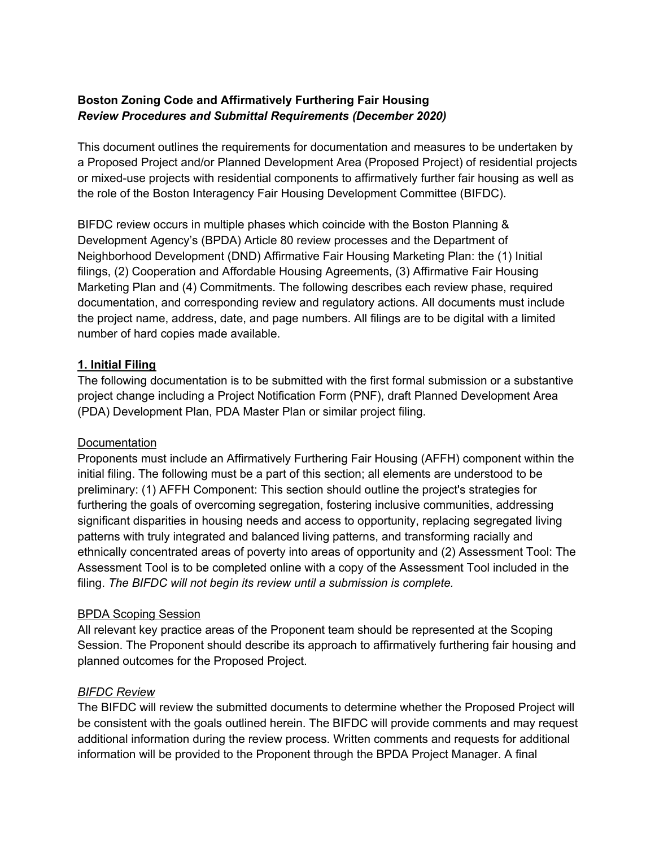### **Boston Zoning Code and Affirmatively Furthering Fair Housing** *Review Procedures and Submittal Requirements (December 2020)*

This document outlines the requirements for documentation and measures to be undertaken by a Proposed Project and/or Planned Development Area (Proposed Project) of residential projects or mixed-use projects with residential components to affirmatively further fair housing as well as the role of the Boston Interagency Fair Housing Development Committee (BIFDC).

BIFDC review occurs in multiple phases which coincide with the Boston Planning & Development Agency's (BPDA) Article 80 review processes and the Department of Neighborhood Development (DND) Affirmative Fair Housing Marketing Plan: the (1) Initial filings, (2) Cooperation and Affordable Housing Agreements, (3) Affirmative Fair Housing Marketing Plan and (4) Commitments. The following describes each review phase, required documentation, and corresponding review and regulatory actions. All documents must include the project name, address, date, and page numbers. All filings are to be digital with a limited number of hard copies made available.

### **1. Initial Filing**

The following documentation is to be submitted with the first formal submission or a substantive project change including a Project Notification Form (PNF), draft Planned Development Area (PDA) Development Plan, PDA Master Plan or similar project filing.

#### **Documentation**

Proponents must include an Affirmatively Furthering Fair Housing (AFFH) component within the initial filing. The following must be a part of this section; all elements are understood to be preliminary: (1) AFFH Component: This section should outline the project's strategies for furthering the goals of overcoming segregation, fostering inclusive communities, addressing significant disparities in housing needs and access to opportunity, replacing segregated living patterns with truly integrated and balanced living patterns, and transforming racially and ethnically concentrated areas of poverty into areas of opportunity and (2) Assessment Tool: The Assessment Tool is to be completed online with a copy of the Assessment Tool included in the filing. *The BIFDC will not begin its review until a submission is complete.*

#### BPDA Scoping Session

All relevant key practice areas of the Proponent team should be represented at the Scoping Session. The Proponent should describe its approach to affirmatively furthering fair housing and planned outcomes for the Proposed Project.

#### *BIFDC Review*

The BIFDC will review the submitted documents to determine whether the Proposed Project will be consistent with the goals outlined herein. The BIFDC will provide comments and may request additional information during the review process. Written comments and requests for additional information will be provided to the Proponent through the BPDA Project Manager. A final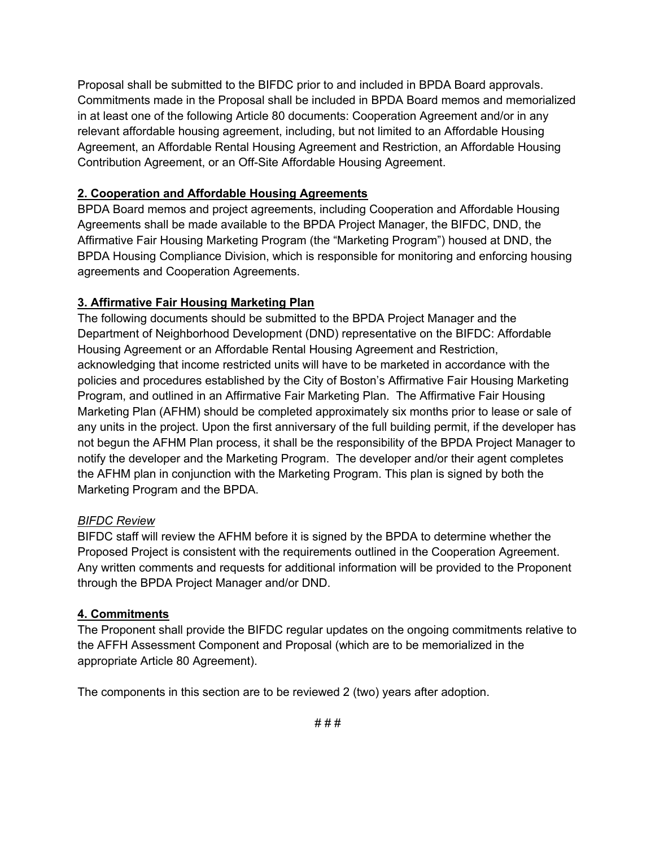Proposal shall be submitted to the BIFDC prior to and included in BPDA Board approvals. Commitments made in the Proposal shall be included in BPDA Board memos and memorialized in at least one of the following Article 80 documents: Cooperation Agreement and/or in any relevant affordable housing agreement, including, but not limited to an Affordable Housing Agreement, an Affordable Rental Housing Agreement and Restriction, an Affordable Housing Contribution Agreement, or an Off-Site Affordable Housing Agreement.

# **2. Cooperation and Affordable Housing Agreements**

BPDA Board memos and project agreements, including Cooperation and Affordable Housing Agreements shall be made available to the BPDA Project Manager, the BIFDC, DND, the Affirmative Fair Housing Marketing Program (the "Marketing Program") housed at DND, the BPDA Housing Compliance Division, which is responsible for monitoring and enforcing housing agreements and Cooperation Agreements.

# **3. Affirmative Fair Housing Marketing Plan**

The following documents should be submitted to the BPDA Project Manager and the Department of Neighborhood Development (DND) representative on the BIFDC: Affordable Housing Agreement or an Affordable Rental Housing Agreement and Restriction, acknowledging that income restricted units will have to be marketed in accordance with the policies and procedures established by the City of Boston's Affirmative Fair Housing Marketing Program, and outlined in an Affirmative Fair Marketing Plan. The Affirmative Fair Housing Marketing Plan (AFHM) should be completed approximately six months prior to lease or sale of any units in the project. Upon the first anniversary of the full building permit, if the developer has not begun the AFHM Plan process, it shall be the responsibility of the BPDA Project Manager to notify the developer and the Marketing Program. The developer and/or their agent completes the AFHM plan in conjunction with the Marketing Program. This plan is signed by both the Marketing Program and the BPDA.

# *BIFDC Review*

BIFDC staff will review the AFHM before it is signed by the BPDA to determine whether the Proposed Project is consistent with the requirements outlined in the Cooperation Agreement. Any written comments and requests for additional information will be provided to the Proponent through the BPDA Project Manager and/or DND.

# **4. Commitments**

The Proponent shall provide the BIFDC regular updates on the ongoing commitments relative to the AFFH Assessment Component and Proposal (which are to be memorialized in the appropriate Article 80 Agreement).

The components in this section are to be reviewed 2 (two) years after adoption.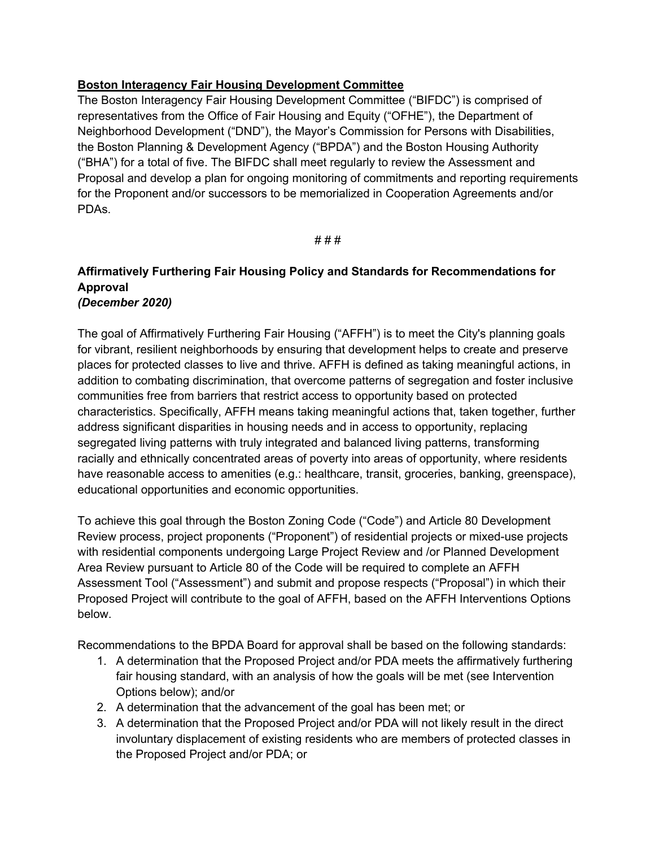### **Boston Interagency Fair Housing Development Committee**

The Boston Interagency Fair Housing Development Committee ("BIFDC") is comprised of representatives from the Office of Fair Housing and Equity ("OFHE"), the Department of Neighborhood Development ("DND"), the Mayor's Commission for Persons with Disabilities, the Boston Planning & Development Agency ("BPDA") and the Boston Housing Authority ("BHA") for a total of five. The BIFDC shall meet regularly to review the Assessment and Proposal and develop a plan for ongoing monitoring of commitments and reporting requirements for the Proponent and/or successors to be memorialized in Cooperation Agreements and/or PDAs.

# # #

### **Affirmatively Furthering Fair Housing Policy and Standards for Recommendations for Approval** *(December 2020)*

The goal of Affirmatively Furthering Fair Housing ("AFFH") is to meet the City's planning goals for vibrant, resilient neighborhoods by ensuring that development helps to create and preserve places for protected classes to live and thrive. AFFH is defined as taking meaningful actions, in addition to combating discrimination, that overcome patterns of segregation and foster inclusive communities free from barriers that restrict access to opportunity based on protected characteristics. Specifically, AFFH means taking meaningful actions that, taken together, further address significant disparities in housing needs and in access to opportunity, replacing segregated living patterns with truly integrated and balanced living patterns, transforming racially and ethnically concentrated areas of poverty into areas of opportunity, where residents have reasonable access to amenities (e.g.: healthcare, transit, groceries, banking, greenspace), educational opportunities and economic opportunities.

To achieve this goal through the Boston Zoning Code ("Code") and Article 80 Development Review process, project proponents ("Proponent") of residential projects or mixed-use projects with residential components undergoing Large Project Review and /or Planned Development Area Review pursuant to Article 80 of the Code will be required to complete an AFFH Assessment Tool ("Assessment") and submit and propose respects ("Proposal") in which their Proposed Project will contribute to the goal of AFFH, based on the AFFH Interventions Options below.

Recommendations to the BPDA Board for approval shall be based on the following standards:

- 1. A determination that the Proposed Project and/or PDA meets the affirmatively furthering fair housing standard, with an analysis of how the goals will be met (see Intervention Options below); and/or
- 2. A determination that the advancement of the goal has been met; or
- 3. A determination that the Proposed Project and/or PDA will not likely result in the direct involuntary displacement of existing residents who are members of protected classes in the Proposed Project and/or PDA; or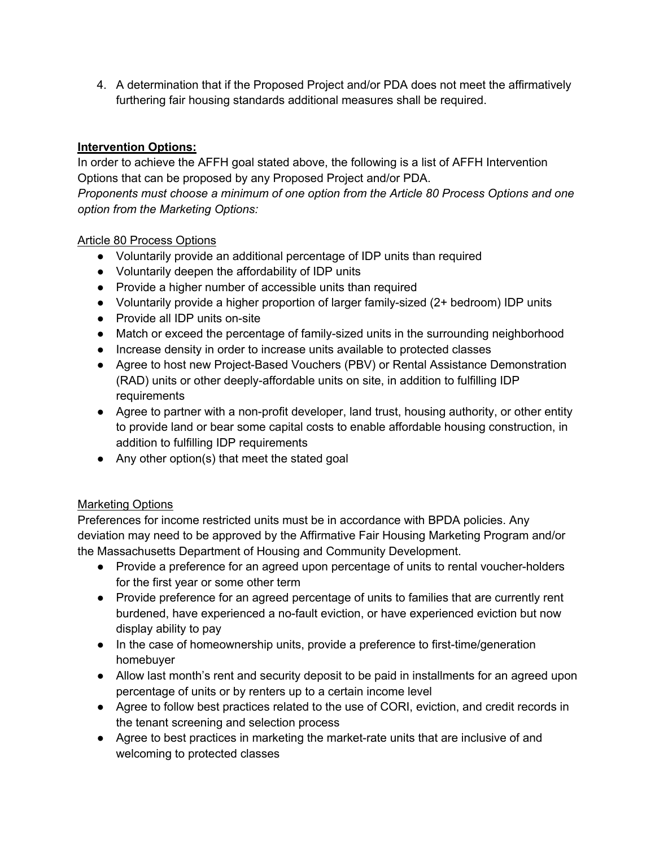4. A determination that if the Proposed Project and/or PDA does not meet the affirmatively furthering fair housing standards additional measures shall be required.

# **Intervention Options:**

In order to achieve the AFFH goal stated above, the following is a list of AFFH Intervention Options that can be proposed by any Proposed Project and/or PDA.

*Proponents must choose a minimum of one option from the Article 80 Process Options and one option from the Marketing Options:*

### Article 80 Process Options

- Voluntarily provide an additional percentage of IDP units than required
- Voluntarily deepen the affordability of IDP units
- Provide a higher number of accessible units than required
- Voluntarily provide a higher proportion of larger family-sized (2+ bedroom) IDP units
- Provide all IDP units on-site
- Match or exceed the percentage of family-sized units in the surrounding neighborhood
- Increase density in order to increase units available to protected classes
- Agree to host new Project-Based Vouchers (PBV) or Rental Assistance Demonstration (RAD) units or other deeply-affordable units on site, in addition to fulfilling IDP requirements
- Agree to partner with a non-profit developer, land trust, housing authority, or other entity to provide land or bear some capital costs to enable affordable housing construction, in addition to fulfilling IDP requirements
- Any other option(s) that meet the stated goal

# Marketing Options

Preferences for income restricted units must be in accordance with BPDA policies. Any deviation may need to be approved by the Affirmative Fair Housing Marketing Program and/or the Massachusetts Department of Housing and Community Development.

- Provide a preference for an agreed upon percentage of units to rental voucher-holders for the first year or some other term
- Provide preference for an agreed percentage of units to families that are currently rent burdened, have experienced a no-fault eviction, or have experienced eviction but now display ability to pay
- In the case of homeownership units, provide a preference to first-time/generation homebuyer
- Allow last month's rent and security deposit to be paid in installments for an agreed upon percentage of units or by renters up to a certain income level
- Agree to follow best practices related to the use of CORI, eviction, and credit records in the tenant screening and selection process
- Agree to best practices in marketing the market-rate units that are inclusive of and welcoming to protected classes